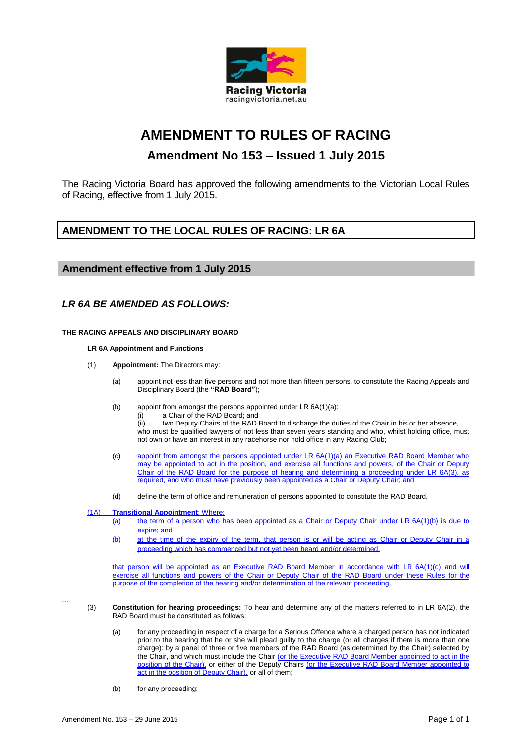

# **AMENDMENT TO RULES OF RACING**

# **Amendment No 153 – Issued 1 July 2015**

The Racing Victoria Board has approved the following amendments to the Victorian Local Rules of Racing, effective from 1 July 2015.

# **AMENDMENT TO THE LOCAL RULES OF RACING: LR 6A**

# **Amendment effective from 1 July 2015**

# *LR 6A BE AMENDED AS FOLLOWS:*

#### **THE RACING APPEALS AND DISCIPLINARY BOARD**

#### **LR 6A Appointment and Functions**

- (1) **Appointment:** The Directors may:
	- (a) appoint not less than five persons and not more than fifteen persons, to constitute the Racing Appeals and Disciplinary Board (the **"RAD Board"**);
	- (b) appoint from amongst the persons appointed under LR 6A(1)(a): (i) a Chair of the RAD Board; and (ii) two Deputy Chairs of the RAD Board to discharge the duties of the Chair in his or her absence,
		- who must be qualified lawyers of not less than seven years standing and who, whilst holding office, must not own or have an interest in any racehorse nor hold office in any Racing Club;
	- (c) appoint from amongst the persons appointed under LR 6A(1)(a) an Executive RAD Board Member who may be appointed to act in the position, and exercise all functions and powers, of the Chair or Deputy Chair of the RAD Board for the purpose of hearing and determining a proceeding under LR 6A(3), as required, and who must have previously been appointed as a Chair or Deputy Chair; and
	- (d) define the term of office and remuneration of persons appointed to constitute the RAD Board.

#### (1A) **Transitional Appointment**: Where:

- (a) the term of a person who has been appointed as a Chair or Deputy Chair under LR 6A(1)(b) is due to expire; and
- (b) at the time of the expiry of the term, that person is or will be acting as Chair or Deputy Chair in a proceeding which has commenced but not yet been heard and/or determined.

that person will be appointed as an Executive RAD Board Member in accordance with LR 6A(1)(c) and will exercise all functions and powers of the Chair or Deputy Chair of the RAD Board under these Rules for the purpose of the completion of the hearing and/or determination of the relevant proceeding.

- ...
- (3) **Constitution for hearing proceedings:** To hear and determine any of the matters referred to in LR 6A(2), the RAD Board must be constituted as follows:
	- (a) for any proceeding in respect of a charge for a Serious Offence where a charged person has not indicated prior to the hearing that he or she will plead guilty to the charge (or all charges if there is more than one charge): by a panel of three or five members of the RAD Board (as determined by the Chair) selected by the Chair, and which must include the Chair (or the Executive RAD Board Member appointed to act in the position of the Chair), or either of the Deputy Chairs (or the Executive RAD Board Member appointed to act in the position of Deputy Chair), or all of them;
	- (b) for any proceeding: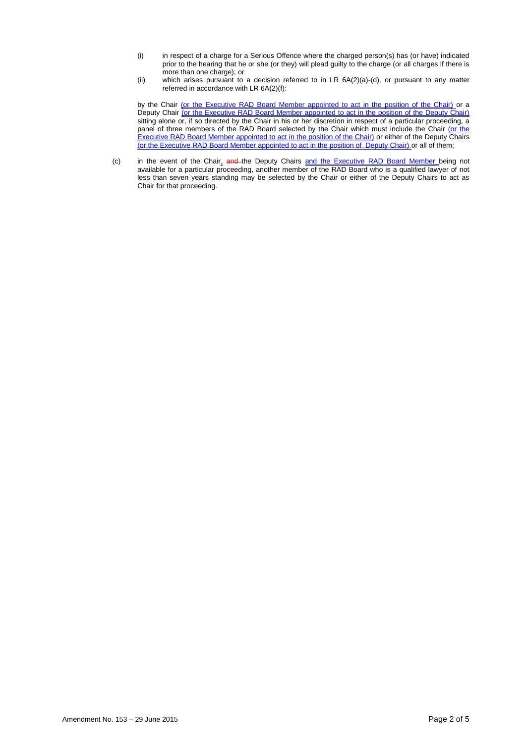- (i) in respect of a charge for a Serious Offence where the charged person(s) has (or have) indicated prior to the hearing that he or she (or they) will plead guilty to the charge (or all charges if there is more than one charge); or
- (ii) which arises pursuant to a decision referred to in LR 6A(2)(a)-(d), or pursuant to any matter referred in accordance with LR 6A(2)(f):

by the Chair <u>(or the Executive RAD Board Member appointed to act in the position of the Chair)</u> or a Deputy Chair <u>(or the Executive RAD Board Member appointed to act in the position of the Deputy Chair)</u> sitting alone or, if so directed by the Chair in his or her discretion in respect of a particular proceeding, a panel of three members of the RAD Board selected by the Chair which must include the Chair (or the Executive RAD Board Member appointed to act in the position of the Chair) or either of the Deputy Chairs (or the Executive RAD Board Member appointed to act in the position of Deputy Chair) or all of them;

(c) in the event of the Chair<sub>4</sub> and the Deputy Chairs and the Executive RAD Board Member being not available for a particular proceeding, another member of the RAD Board who is a qualified lawyer of not less than seven years standing may be selected by the Chair or either of the Deputy Chairs to act as Chair for that proceeding.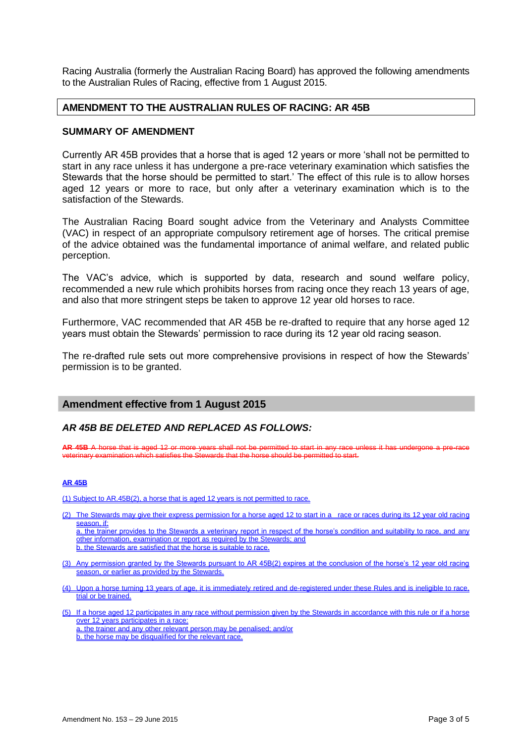Racing Australia (formerly the Australian Racing Board) has approved the following amendments to the Australian Rules of Racing, effective from 1 August 2015.

# **AMENDMENT TO THE AUSTRALIAN RULES OF RACING: AR 45B**

### **SUMMARY OF AMENDMENT**

Currently AR 45B provides that a horse that is aged 12 years or more 'shall not be permitted to start in any race unless it has undergone a pre-race veterinary examination which satisfies the Stewards that the horse should be permitted to start.' The effect of this rule is to allow horses aged 12 years or more to race, but only after a veterinary examination which is to the satisfaction of the Stewards.

The Australian Racing Board sought advice from the Veterinary and Analysts Committee (VAC) in respect of an appropriate compulsory retirement age of horses. The critical premise of the advice obtained was the fundamental importance of animal welfare, and related public perception.

The VAC's advice, which is supported by data, research and sound welfare policy, recommended a new rule which prohibits horses from racing once they reach 13 years of age, and also that more stringent steps be taken to approve 12 year old horses to race.

Furthermore, VAC recommended that AR 45B be re-drafted to require that any horse aged 12 years must obtain the Stewards' permission to race during its 12 year old racing season.

The re-drafted rule sets out more comprehensive provisions in respect of how the Stewards' permission is to be granted.

### **Amendment effective from 1 August 2015**

### *AR 45B BE DELETED AND REPLACED AS FOLLOWS:*

**AR 45B A horse that is aged 12 or more years shall not be permitted to start in any rate in any rate** veterinary examination which satisfies the Stewards that the horse should be permitted to start.

#### **AR 45B**

(1) Subject to AR.45B(2), a horse that is aged 12 years is not permitted to race.

(2) The Stewards may give their express permission for a horse aged 12 to start in a race or races during its 12 year old racing season, if:

a. the trainer provides to the Stewards a veterinary report in respect of the horse's condition and suitability to race, and any other information, examination or report as required by the Stewards; and b. the Stewards are satisfied that the horse is suitable to race.

- (3) Any permission granted by the Stewards pursuant to AR 45B(2) expires at the conclusion of the horse's 12 year old racing season, or earlier as provided by the Stewards.
- (4) Upon a horse turning 13 years of age, it is immediately retired and de-registered under these Rules and is ineligible to race, trial or be trained.
- (5) If a horse aged 12 participates in any race without permission given by the Stewards in accordance with this rule or if a horse over 12 years participates in a race: a. the trainer and any other relevant person may be penalised; and/or
	- b. the horse may be disqualified for the relevant race.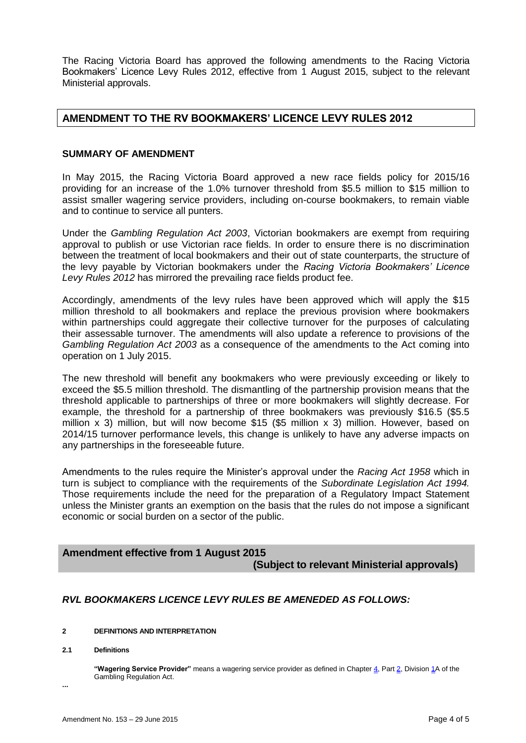The Racing Victoria Board has approved the following amendments to the Racing Victoria Bookmakers' Licence Levy Rules 2012, effective from 1 August 2015, subject to the relevant Ministerial approvals.

# **AMENDMENT TO THE RV BOOKMAKERS' LICENCE LEVY RULES 2012**

# **SUMMARY OF AMENDMENT**

In May 2015, the Racing Victoria Board approved a new race fields policy for 2015/16 providing for an increase of the 1.0% turnover threshold from \$5.5 million to \$15 million to assist smaller wagering service providers, including on-course bookmakers, to remain viable and to continue to service all punters.

Under the *Gambling Regulation Act 2003*, Victorian bookmakers are exempt from requiring approval to publish or use Victorian race fields. In order to ensure there is no discrimination between the treatment of local bookmakers and their out of state counterparts, the structure of the levy payable by Victorian bookmakers under the *Racing Victoria Bookmakers' Licence Levy Rules 2012* has mirrored the prevailing race fields product fee.

Accordingly, amendments of the levy rules have been approved which will apply the \$15 million threshold to all bookmakers and replace the previous provision where bookmakers within partnerships could aggregate their collective turnover for the purposes of calculating their assessable turnover. The amendments will also update a reference to provisions of the *Gambling Regulation Act 2003* as a consequence of the amendments to the Act coming into operation on 1 July 2015.

The new threshold will benefit any bookmakers who were previously exceeding or likely to exceed the \$5.5 million threshold. The dismantling of the partnership provision means that the threshold applicable to partnerships of three or more bookmakers will slightly decrease. For example, the threshold for a partnership of three bookmakers was previously \$16.5 (\$5.5 million  $x$  3) million, but will now become \$15 (\$5 million  $x$  3) million. However, based on 2014/15 turnover performance levels, this change is unlikely to have any adverse impacts on any partnerships in the foreseeable future.

Amendments to the rules require the Minister's approval under the *Racing Act 1958* which in turn is subject to compliance with the requirements of the *Subordinate Legislation Act 1994.*  Those requirements include the need for the preparation of a Regulatory Impact Statement unless the Minister grants an exemption on the basis that the rules do not impose a significant economic or social burden on a sector of the public.

# **Amendment effective from 1 August 2015**

# **(Subject to relevant Ministerial approvals)**

# *RVL BOOKMAKERS LICENCE LEVY RULES BE AMENEDED AS FOLLOWS:*

#### **2 DEFINITIONS AND INTERPRETATION**

#### **2.1 Definitions**

**"Wagering Service Provider"** means a wagering service provider as defined in Chapter 4, Part 2, Division 1A of the Gambling Regulation Act.

**...**